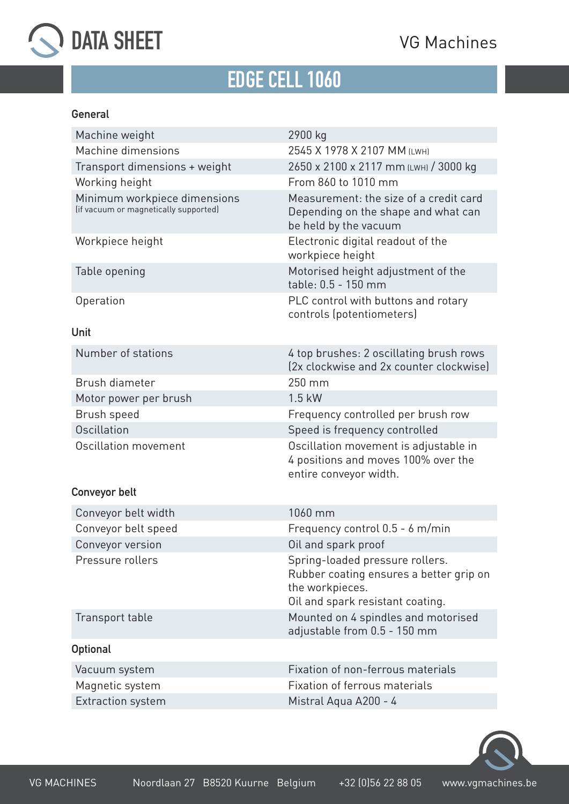



## **[EDGE CELL 1060](https://vgmachines.be/en/product/ts-1060-1330-5/)**

#### **General**

| Machine weight                                                        | 2900 kg                                                                                                                           |
|-----------------------------------------------------------------------|-----------------------------------------------------------------------------------------------------------------------------------|
| Machine dimensions                                                    | 2545 X 1978 X 2107 MM (LWH)                                                                                                       |
| Transport dimensions + weight                                         | 2650 x 2100 x 2117 mm (LWH) / 3000 kg                                                                                             |
| Working height                                                        | From 860 to 1010 mm                                                                                                               |
| Minimum workpiece dimensions<br>(if vacuum or magnetically supported) | Measurement: the size of a credit card<br>Depending on the shape and what can<br>be held by the vacuum                            |
| Workpiece height                                                      | Electronic digital readout of the<br>workpiece height                                                                             |
| Table opening                                                         | Motorised height adjustment of the<br>table: 0.5 - 150 mm                                                                         |
| Operation                                                             | PLC control with buttons and rotary<br>controls (potentiometers)                                                                  |
| Unit                                                                  |                                                                                                                                   |
| Number of stations                                                    | 4 top brushes: 2 oscillating brush rows<br>(2x clockwise and 2x counter clockwise)                                                |
| Brush diameter                                                        | 250 mm                                                                                                                            |
| Motor power per brush                                                 | $1.5$ kW                                                                                                                          |
| Brush speed                                                           | Frequency controlled per brush row                                                                                                |
| Oscillation                                                           | Speed is frequency controlled                                                                                                     |
| Oscillation movement                                                  | Oscillation movement is adjustable in<br>4 positions and moves 100% over the<br>entire conveyor width.                            |
| Conveyor belt                                                         |                                                                                                                                   |
| Conveyor belt width                                                   | 1060 mm                                                                                                                           |
| Conveyor belt speed                                                   | Frequency control 0.5 - 6 m/min                                                                                                   |
| Conveyor version                                                      | Oil and spark proof                                                                                                               |
| Pressure rollers                                                      | Spring-loaded pressure rollers.<br>Rubber coating ensures a better grip on<br>the workpieces.<br>Oil and spark resistant coating. |
| Transport table                                                       | Mounted on 4 spindles and motorised<br>adjustable from 0.5 - 150 mm                                                               |
| <b>Optional</b>                                                       |                                                                                                                                   |
| Vacuum system                                                         | Fixation of non-ferrous materials                                                                                                 |
| Magnetic system                                                       | <b>Fixation of ferrous materials</b>                                                                                              |
| Extraction system                                                     | Mistral Aqua A200 - 4                                                                                                             |
|                                                                       |                                                                                                                                   |

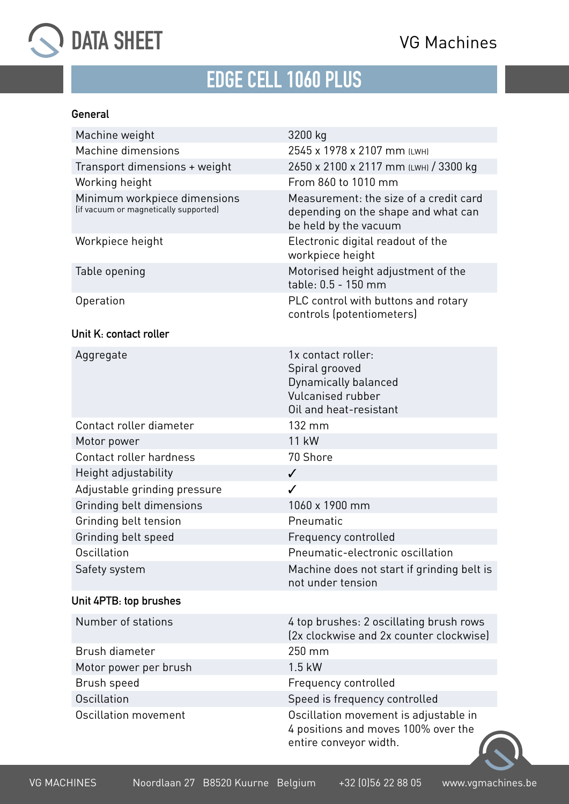

# **[EDGE CELL 1060 PLUS](https://vgmachines.be/en/product/ts-1060-1330-5/)**

#### **General**

| Machine weight                                                        | 3200 kg                                                                                                     |
|-----------------------------------------------------------------------|-------------------------------------------------------------------------------------------------------------|
| Machine dimensions                                                    | 2545 x 1978 x 2107 mm (LWH)                                                                                 |
| Transport dimensions + weight                                         | 2650 x 2100 x 2117 mm (LWH) / 3300 kg                                                                       |
| Working height                                                        | From 860 to 1010 mm                                                                                         |
| Minimum workpiece dimensions<br>(if vacuum or magnetically supported) | Measurement: the size of a credit card<br>depending on the shape and what can<br>be held by the vacuum      |
| Workpiece height                                                      | Electronic digital readout of the<br>workpiece height                                                       |
| Table opening                                                         | Motorised height adjustment of the<br>table: 0.5 - 150 mm                                                   |
| Operation                                                             | PLC control with buttons and rotary<br>controls (potentiometers)                                            |
| Unit K: contact roller                                                |                                                                                                             |
| Aggregate                                                             | 1x contact roller:<br>Spiral grooved<br>Dynamically balanced<br>Vulcanised rubber<br>Oil and heat-resistant |
| Contact roller diameter                                               | 132 mm                                                                                                      |
| Motor power                                                           | 11 kW                                                                                                       |
| Contact roller hardness                                               | 70 Shore                                                                                                    |
| Height adjustability                                                  | $\checkmark$                                                                                                |
| Adjustable grinding pressure                                          | $\checkmark$                                                                                                |
| Grinding belt dimensions                                              | 1060 x 1900 mm                                                                                              |
| Grinding belt tension                                                 | Pneumatic                                                                                                   |
| Grinding belt speed                                                   | Frequency controlled                                                                                        |
| Oscillation                                                           | Pneumatic-electronic oscillation                                                                            |
| Safety system                                                         | Machine does not start if grinding belt is<br>not under tension                                             |
| Unit 4PTB: top brushes                                                |                                                                                                             |
| Number of stations                                                    | 4 top brushes: 2 oscillating brush rows<br>(2x clockwise and 2x counter clockwise)                          |
| Brush diameter                                                        | 250 mm                                                                                                      |
| Motor power per brush                                                 | $1.5$ kW                                                                                                    |
| Brush speed                                                           | Frequency controlled                                                                                        |
| Oscillation                                                           | Speed is frequency controlled                                                                               |
| Oscillation movement                                                  | Oscillation movement is adjustable in<br>4 positions and moves 100% over the<br>entire conveyor width.      |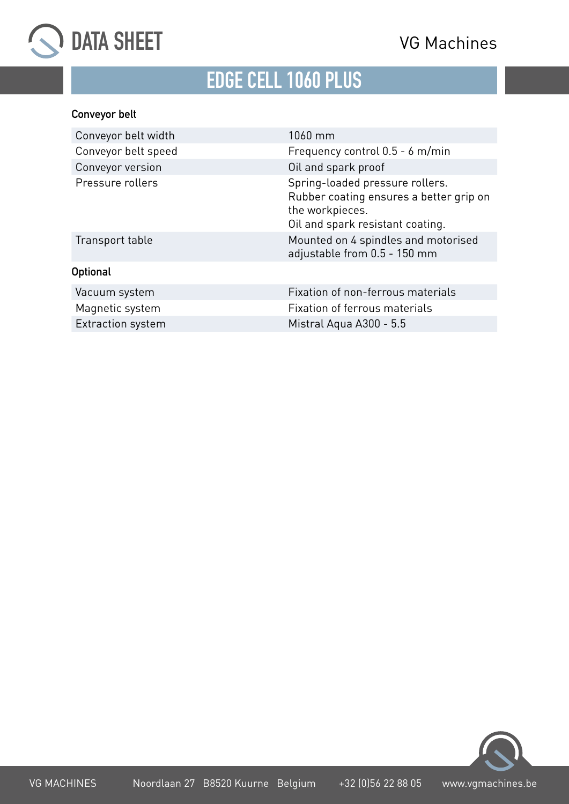



## **[EDGE CELL 1060 PLUS](https://vgmachines.be/en/product/ts-1060-1330-5/)**

### **Conveyor belt**

| Conveyor belt width | 1060 mm                                                                                                                           |
|---------------------|-----------------------------------------------------------------------------------------------------------------------------------|
| Conveyor belt speed | Frequency control $0.5 - 6$ m/min                                                                                                 |
| Conveyor version    | Oil and spark proof                                                                                                               |
| Pressure rollers    | Spring-loaded pressure rollers.<br>Rubber coating ensures a better grip on<br>the workpieces.<br>Oil and spark resistant coating. |
| Transport table     | Mounted on 4 spindles and motorised<br>adjustable from 0.5 - 150 mm                                                               |
| <b>Optional</b>     |                                                                                                                                   |
| Vacuum system       | Fixation of non-ferrous materials                                                                                                 |
| Magnetic system     | Fixation of ferrous materials                                                                                                     |
| Extraction system   | Mistral Aqua A300 - 5.5                                                                                                           |
|                     |                                                                                                                                   |

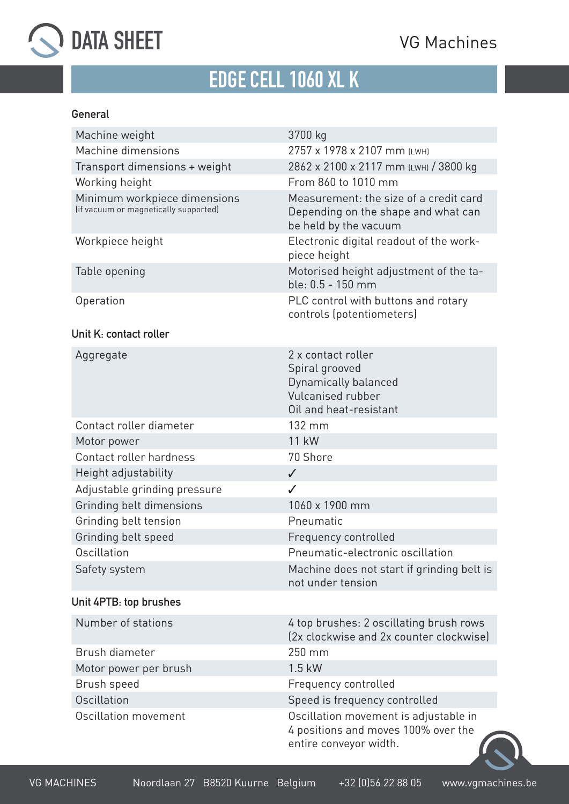

# **[EDGE CELL 1060 XL K](https://vgmachines.be/en/product/ts-1060-1330-5/)**

#### **General**

| Machine weight                                                        | 3700 kg                                                                                                     |
|-----------------------------------------------------------------------|-------------------------------------------------------------------------------------------------------------|
| Machine dimensions                                                    | 2757 x 1978 x 2107 mm (LWH)                                                                                 |
| Transport dimensions + weight                                         | 2862 x 2100 x 2117 mm (LWH) / 3800 kg                                                                       |
| Working height                                                        | From 860 to 1010 mm                                                                                         |
| Minimum workpiece dimensions<br>(if vacuum or magnetically supported) | Measurement: the size of a credit card<br>Depending on the shape and what can<br>be held by the vacuum      |
| Workpiece height                                                      | Electronic digital readout of the work-<br>piece height                                                     |
| Table opening                                                         | Motorised height adjustment of the ta-<br>ble: 0.5 - 150 mm                                                 |
| Operation                                                             | PLC control with buttons and rotary<br>controls (potentiometers)                                            |
| Unit K: contact roller                                                |                                                                                                             |
| Aggregate                                                             | 2 x contact roller<br>Spiral grooved<br>Dynamically balanced<br>Vulcanised rubber<br>Oil and heat-resistant |
| Contact roller diameter                                               | 132 mm                                                                                                      |
| Motor power                                                           | 11 kW                                                                                                       |
| Contact roller hardness                                               | 70 Shore                                                                                                    |
| Height adjustability                                                  | $\checkmark$                                                                                                |
| Adjustable grinding pressure                                          | ✓                                                                                                           |
| Grinding belt dimensions                                              | 1060 x 1900 mm                                                                                              |
| Grinding belt tension                                                 | Pneumatic                                                                                                   |
| Grinding belt speed                                                   | Frequency controlled                                                                                        |
| Oscillation                                                           | Pneumatic-electronic oscillation                                                                            |
| Safety system                                                         | Machine does not start if grinding belt is<br>not under tension                                             |
| Unit 4PTB: top brushes                                                |                                                                                                             |
| Number of stations                                                    | 4 top brushes: 2 oscillating brush rows<br>(2x clockwise and 2x counter clockwise)                          |
| Brush diameter                                                        | 250 mm                                                                                                      |
| Motor power per brush                                                 | $1.5$ kW                                                                                                    |
| Brush speed                                                           | Frequency controlled                                                                                        |
| Oscillation                                                           | Speed is frequency controlled                                                                               |
| Oscillation movement                                                  | Oscillation movement is adjustable in<br>4 positions and moves 100% over the<br>entire conveyor width.      |